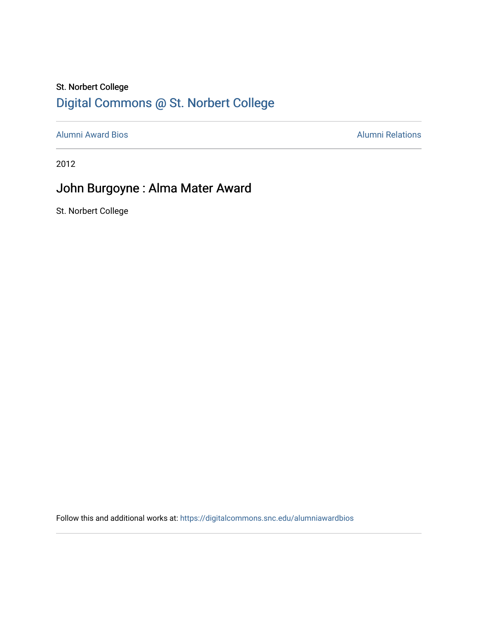#### St. Norbert College [Digital Commons @ St. Norbert College](https://digitalcommons.snc.edu/)

[Alumni Award Bios](https://digitalcommons.snc.edu/alumniawardbios) **Alumni Relations** Alumni Relations

2012

### John Burgoyne : Alma Mater Award

St. Norbert College

Follow this and additional works at: [https://digitalcommons.snc.edu/alumniawardbios](https://digitalcommons.snc.edu/alumniawardbios?utm_source=digitalcommons.snc.edu%2Falumniawardbios%2F54&utm_medium=PDF&utm_campaign=PDFCoverPages)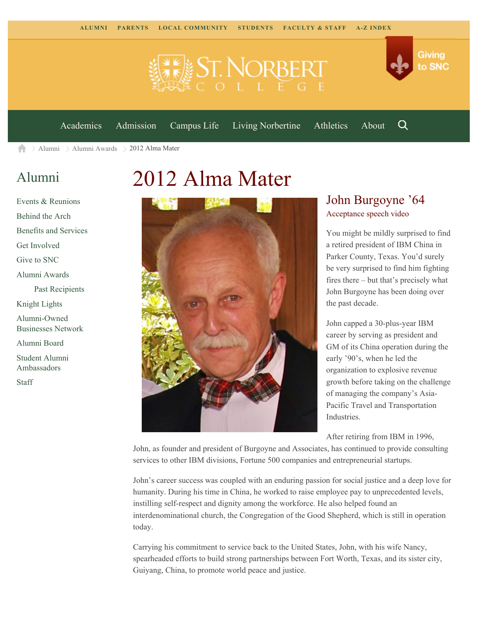



Q

[Academics](https://www.snc.edu/academics) [Admission](https://www.snc.edu/admission) [Campus Life](https://www.snc.edu/campuslife) [Living Norbertine](https://www.snc.edu/livingnorbertine) [Athletics](https://www.snc.edu/athletics) [About](https://www.snc.edu/about)

[Alumni](https://www.snc.edu/alumni/) [Alumni Awards](https://www.snc.edu/alumni/awards/) 2012 Alma Mater A

## [Alumni](https://www.snc.edu/alumni/index.html)

[Events & Reunions](https://www.snc.edu/alumni/event/index.html) [Behind the Arch](https://www.snc.edu/alumni/event/behindthearch/) [Benefits and Services](https://www.snc.edu/alumni/benefits.html) [Get Involved](https://www.snc.edu/alumni/getinvolved.html) [Give to SNC](http://giving.snc.edu/) [Alumni Awards](https://www.snc.edu/alumni/awards/index.html) [Past Recipients](https://www.snc.edu/alumni/awards/recipients.html) [Knight Lights](https://www.snc.edu/alumni/knightlights/index.html) [Alumni-Owned](https://www.snc.edu/alumni/directory/index.html) [Businesses Network](https://www.snc.edu/alumni/directory/index.html) [Alumni Board](https://www.snc.edu/alumni/alumniboard.html) [Student Alumni](https://www.snc.edu/alumni/saa.html) [Ambassadors](https://www.snc.edu/alumni/saa.html) [Staff](https://www.snc.edu/alumni/contactus.html)

# 2012 Alma Mater



#### John Burgoyne '64 [Acceptance speech video](http://www.youtube.com/watch?v=uXdqv0iFiXA)

You might be mildly surprised to find a retired president of IBM China in Parker County, Texas. You'd surely be very surprised to find him fighting fires there – but that's precisely what John Burgoyne has been doing over the past decade.

John capped a 30-plus-year IBM career by serving as president and GM of its China operation during the early '90's, when he led the organization to explosive revenue growth before taking on the challenge of managing the company's Asia-Pacific Travel and Transportation Industries.

After retiring from IBM in 1996,

John, as founder and president of Burgoyne and Associates, has continued to provide consulting services to other IBM divisions, Fortune 500 companies and entrepreneurial startups.

John's career success was coupled with an enduring passion for social justice and a deep love for humanity. During his time in China, he worked to raise employee pay to unprecedented levels, instilling self-respect and dignity among the workforce. He also helped found an interdenominational church, the Congregation of the Good Shepherd, which is still in operation today.

Carrying his commitment to service back to the United States, John, with his wife Nancy, spearheaded efforts to build strong partnerships between Fort Worth, Texas, and its sister city, Guiyang, China, to promote world peace and justice.